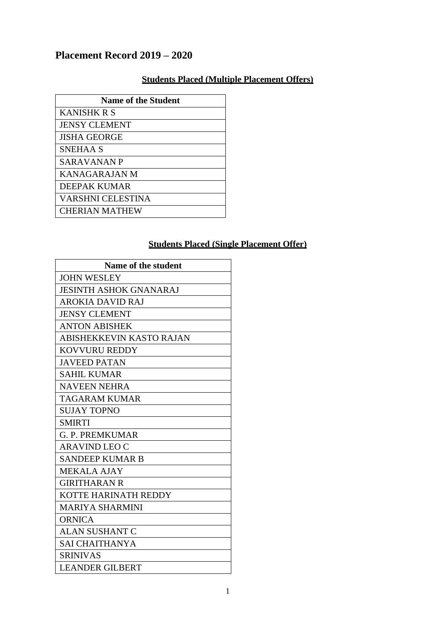## **Placement Record 2019 – 2020**

## **Students Placed (Multiple Placement Offers)**

| <b>Name of the Student</b> |
|----------------------------|
| <b>KANISHK R S</b>         |
| <b>JENSY CLEMENT</b>       |
| <b>JISHA GEORGE</b>        |
| SNEHAA S                   |
| <b>SARAVANAN P</b>         |
| KANAGARAJAN M              |
| DEEPAK KUMAR               |
| <b>VARSHNI CELESTINA</b>   |
| <b>CHERIAN MATHEW</b>      |

## **Students Placed (Single Placement Offer)**

| Name of the student           |
|-------------------------------|
| <b>JOHN WESLEY</b>            |
| <b>JESINTH ASHOK GNANARAJ</b> |
| <b>AROKIA DAVID RAJ</b>       |
| <b>JENSY CLEMENT</b>          |
| <b>ANTON ABISHEK</b>          |
| ABISHEKKEVIN KASTO RAJAN      |
| <b>KOVVURU REDDY</b>          |
| <b>JAVEED PATAN</b>           |
| <b>SAHIL KUMAR</b>            |
| <b>NAVEEN NEHRA</b>           |
| <b>TAGARAM KUMAR</b>          |
| <b>SUJAY TOPNO</b>            |
| <b>SMIRTI</b>                 |
| <b>G. P. PREMKUMAR</b>        |
| <b>ARAVIND LEO C</b>          |
| <b>SANDEEP KUMAR B</b>        |
| <b>MEKALA AJAY</b>            |
| <b>GIRITHARAN R</b>           |
| KOTTE HARINATH REDDY          |
| <b>MARIYA SHARMINI</b>        |
| <b>ORNICA</b>                 |
| <b>ALAN SUSHANT C</b>         |
| <b>SAI CHAITHANYA</b>         |
| <b>SRINIVAS</b>               |
| <b>LEANDER GILBERT</b>        |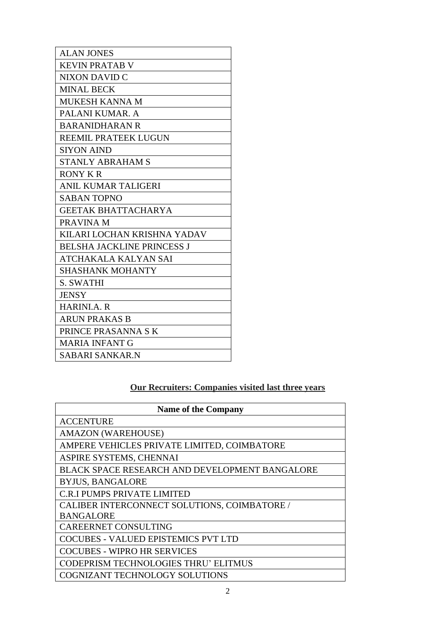| <b>ALAN JONES</b>                 |
|-----------------------------------|
| <b>KEVIN PRATAB V</b>             |
| <b>NIXON DAVID C</b>              |
| <b>MINAL BECK</b>                 |
| MUKESH KANNA M                    |
| PALANI KUMAR. A                   |
| <b>BARANIDHARAN R</b>             |
| <b>REEMIL PRATEEK LUGUN</b>       |
| <b>SIYON AIND</b>                 |
| <b>STANLY ABRAHAM S</b>           |
| <b>RONY KR</b>                    |
| ANIL KUMAR TALIGERI               |
| <b>SABAN TOPNO</b>                |
| <b>GEETAK BHATTACHARYA</b>        |
| PRAVINA M                         |
| KILARI LOCHAN KRISHNA YADAV       |
| <b>BELSHA JACKLINE PRINCESS J</b> |
| ATCHAKALA KALYAN SAI              |
| <b>SHASHANK MOHANTY</b>           |
| <b>S. SWATHI</b>                  |
| <b>JENSY</b>                      |
| <b>HARINI.A. R</b>                |
| <b>ARUN PRAKAS B</b>              |
| PRINCE PRASANNA SK                |
| <b>MARIA INFANT G</b>             |
| SABARI SANKAR.N                   |

## **Our Recruiters: Companies visited last three years**

| <b>Name of the Company</b>                            |
|-------------------------------------------------------|
| <b>ACCENTURE</b>                                      |
| <b>AMAZON (WAREHOUSE)</b>                             |
| AMPERE VEHICLES PRIVATE LIMITED, COIMBATORE           |
| ASPIRE SYSTEMS, CHENNAI                               |
| <b>BLACK SPACE RESEARCH AND DEVELOPMENT BANGALORE</b> |
| <b>BYJUS, BANGALORE</b>                               |
| C.R.I PUMPS PRIVATE LIMITED                           |
| CALIBER INTERCONNECT SOLUTIONS, COIMBATORE /          |
| <b>BANGALORE</b>                                      |
| <b>CAREERNET CONSULTING</b>                           |
| <b>COCUBES - VALUED EPISTEMICS PVT LTD</b>            |
| <b>COCUBES - WIPRO HR SERVICES</b>                    |
| <b>CODEPRISM TECHNOLOGIES THRU' ELITMUS</b>           |
| <b>COGNIZANT TECHNOLOGY SOLUTIONS</b>                 |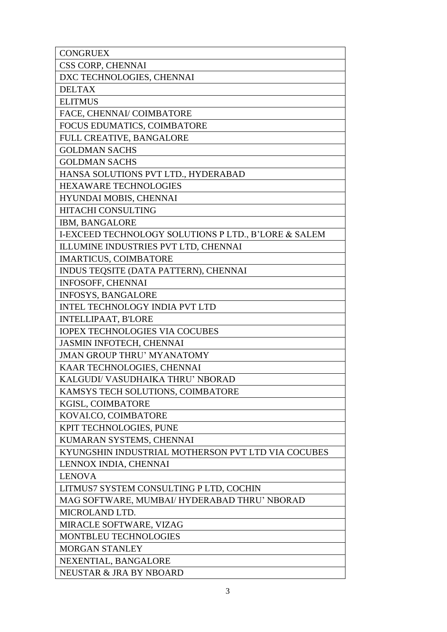| <b>CONGRUEX</b>                                      |
|------------------------------------------------------|
| CSS CORP, CHENNAI                                    |
| DXC TECHNOLOGIES, CHENNAI                            |
| <b>DELTAX</b>                                        |
| <b>ELITMUS</b>                                       |
| FACE, CHENNAI/ COIMBATORE                            |
| FOCUS EDUMATICS, COIMBATORE                          |
| FULL CREATIVE, BANGALORE                             |
| <b>GOLDMAN SACHS</b>                                 |
| <b>GOLDMAN SACHS</b>                                 |
| HANSA SOLUTIONS PVT LTD., HYDERABAD                  |
| <b>HEXAWARE TECHNOLOGIES</b>                         |
| HYUNDAI MOBIS, CHENNAI                               |
| HITACHI CONSULTING                                   |
| IBM, BANGALORE                                       |
| I-EXCEED TECHNOLOGY SOLUTIONS P LTD., B'LORE & SALEM |
| ILLUMINE INDUSTRIES PVT LTD, CHENNAI                 |
| <b>IMARTICUS, COIMBATORE</b>                         |
| INDUS TEQSITE (DATA PATTERN), CHENNAI                |
| <b>INFOSOFF, CHENNAI</b>                             |
| <b>INFOSYS, BANGALORE</b>                            |
| <b>INTEL TECHNOLOGY INDIA PVT LTD</b>                |
| <b>INTELLIPAAT, B'LORE</b>                           |
| <b>IOPEX TECHNOLOGIES VIA COCUBES</b>                |
| <b>JASMIN INFOTECH, CHENNAI</b>                      |
| <b>JMAN GROUP THRU' MYANATOMY</b>                    |
| KAAR TECHNOLOGIES, CHENNAI                           |
| KALGUDI/ VASUDHAIKA THRU' NBORAD                     |
| KAMSYS TECH SOLUTIONS, COIMBATORE                    |
| KGISL, COIMBATORE                                    |
| KOVALCO, COIMBATORE                                  |
| KPIT TECHNOLOGIES, PUNE                              |
| KUMARAN SYSTEMS, CHENNAI                             |
| KYUNGSHIN INDUSTRIAL MOTHERSON PVT LTD VIA COCUBES   |
| LENNOX INDIA, CHENNAI                                |
| <b>LENOVA</b>                                        |
| LITMUS7 SYSTEM CONSULTING P LTD, COCHIN              |
| MAG SOFTWARE, MUMBAI/ HYDERABAD THRU' NBORAD         |
| MICROLAND LTD.                                       |
| MIRACLE SOFTWARE, VIZAG                              |
| MONTBLEU TECHNOLOGIES                                |
| <b>MORGAN STANLEY</b>                                |
| NEXENTIAL, BANGALORE                                 |
| NEUSTAR & JRA BY NBOARD                              |
|                                                      |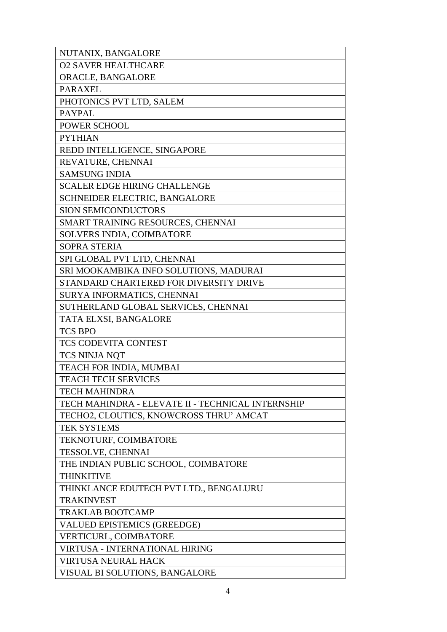| NUTANIX, BANGALORE                                |
|---------------------------------------------------|
| <b>O2 SAVER HEALTHCARE</b>                        |
| ORACLE, BANGALORE                                 |
| <b>PARAXEL</b>                                    |
| PHOTONICS PVT LTD, SALEM                          |
| <b>PAYPAL</b>                                     |
| POWER SCHOOL                                      |
| <b>PYTHIAN</b>                                    |
| REDD INTELLIGENCE, SINGAPORE                      |
| REVATURE, CHENNAI                                 |
| <b>SAMSUNG INDIA</b>                              |
| <b>SCALER EDGE HIRING CHALLENGE</b>               |
| SCHNEIDER ELECTRIC, BANGALORE                     |
| <b>SION SEMICONDUCTORS</b>                        |
| SMART TRAINING RESOURCES, CHENNAI                 |
| <b>SOLVERS INDIA, COIMBATORE</b>                  |
| <b>SOPRA STERIA</b>                               |
| SPI GLOBAL PVT LTD, CHENNAI                       |
| SRI MOOKAMBIKA INFO SOLUTIONS, MADURAI            |
| STANDARD CHARTERED FOR DIVERSITY DRIVE            |
| SURYA INFORMATICS, CHENNAI                        |
| SUTHERLAND GLOBAL SERVICES, CHENNAI               |
| TATA ELXSI, BANGALORE                             |
| <b>TCS BPO</b>                                    |
| TCS CODEVITA CONTEST                              |
| TCS NINJA NQT                                     |
| TEACH FOR INDIA, MUMBAI                           |
| <b>TEACH TECH SERVICES</b>                        |
| <b>TECH MAHINDRA</b>                              |
| TECH MAHINDRA - ELEVATE II - TECHNICAL INTERNSHIP |
| TECHO2, CLOUTICS, KNOWCROSS THRU' AMCAT           |
| <b>TEK SYSTEMS</b>                                |
| TEKNOTURF, COIMBATORE                             |
| <b>TESSOLVE, CHENNAI</b>                          |
| THE INDIAN PUBLIC SCHOOL, COIMBATORE              |
| <b>THINKITIVE</b>                                 |
| THINKLANCE EDUTECH PVT LTD., BENGALURU            |
| <b>TRAKINVEST</b>                                 |
| <b>TRAKLAB BOOTCAMP</b>                           |
| VALUED EPISTEMICS (GREEDGE)                       |
| <b>VERTICURL, COIMBATORE</b>                      |
| <b>VIRTUSA - INTERNATIONAL HIRING</b>             |
| <b>VIRTUSA NEURAL HACK</b>                        |
| <b>VISUAL BI SOLUTIONS, BANGALORE</b>             |
|                                                   |